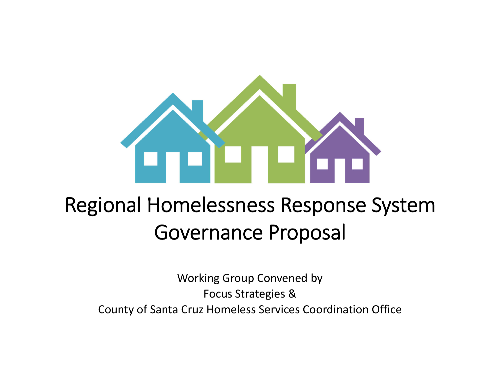

# Regional Homelessness Response System Governance Proposal

Working Group Convened by Focus Strategies & County of Santa Cruz Homeless Services Coordination Office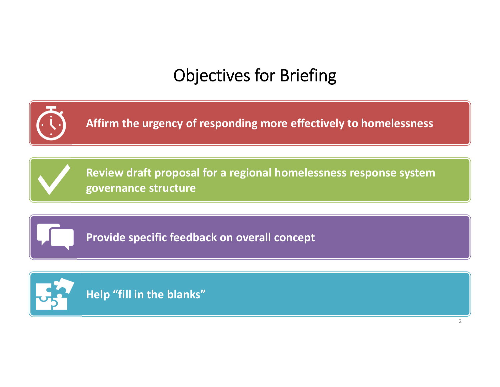# Objectives for Briefing

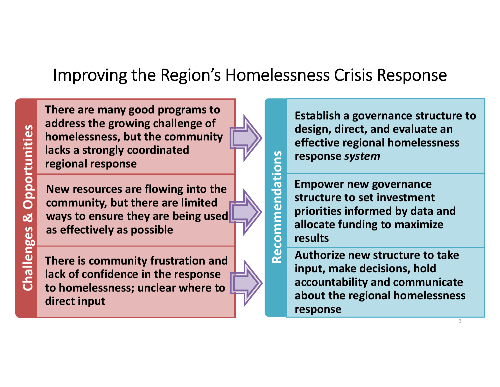### Improving the Region's Homelessness Crisis Response

**Recommendations**

Recommendations

**There are many good programs to address the growing challenge of homelessness, but the community lacks a strongly coordinated regional response**

Materialson the strength with the community<br>
lacks a strongly coordinated<br>
regional response<br>
New resources are flowing into the<br>
community, but there are limited<br>
ways to ensure they are being used<br>
as effectively as poss

**There is community frustration and lack of confidence in the response to homelessness; unclear where to direct input**

**Establish a governance structure to design, direct, and evaluate an effective regional homelessness response** *system*

**Empower new governance structure to set investment priorities informed by data and allocate funding to maximize results**

**Authorize new structure to take input, make decisions, hold accountability and communicate about the regional homelessness response**

3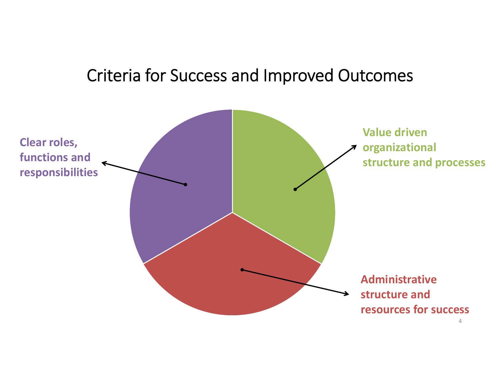### Criteria for Success and Improved Outcomes

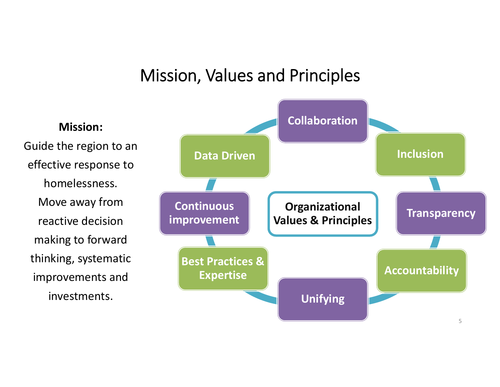### Mission, Values and Principles

**Mission:**Guide the region to an effective response to homelessness.Move away from reactive decisionmaking to forward thinking, systematic improvements and investments.

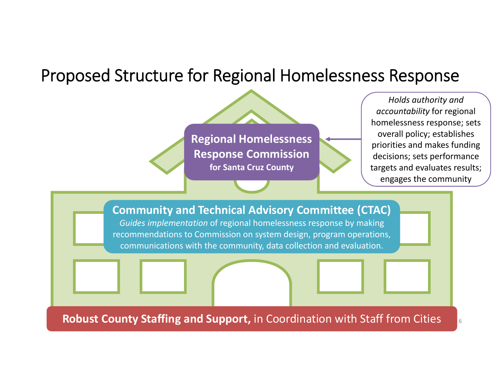### Proposed Structure for Regional Homelessness Response

**Regional Homelessness Response Commission for Santa Cruz County**

*Holds authority and accountability* for regional homelessness response; sets overall policy; establishes priorities and makes funding decisions; sets performance targets and evaluates results; engages the community

6



**Robust County Staffing and Support,** in Coordination with Staff from Cities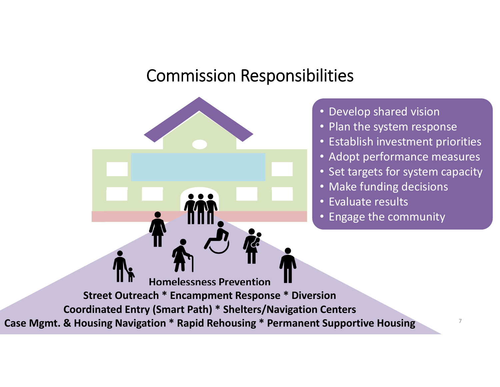### Commission Responsibilities

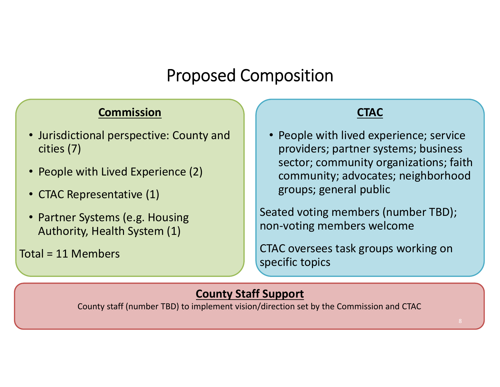### Proposed Composition

#### **Commission**

- Jurisdictional perspective: County and cities (7)
- People with Lived Experience (2)
- CTAC Representative (1)
- Partner Systems (e.g. Housing Authority, Health System (1)

Total <sup>=</sup> 11 Members

#### **CTAC**

• People with lived experience; service providers; partner systems; business sector; community organizations; faith community; advocates; neighborhood groups; general public

Seated voting members (number TBD); non‐voting members welcome

CTAC oversees task groups working on specific topics

#### **County Staff Support**

County staff (number TBD) to implement vision/direction set by the Commission and CTAC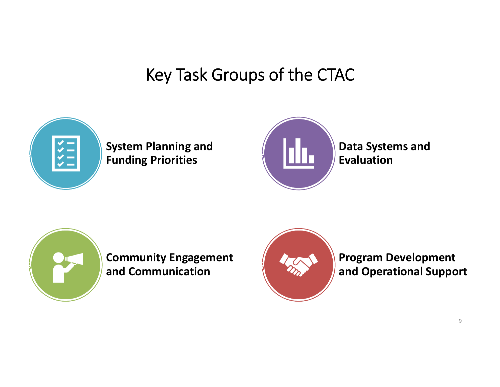## Key Task Groups of the CTAC



#### **System Planning and Funding Priorities**



**Data Systems and Evaluation**



**Community Engagement and Communication**



**Program Development and Operational Support**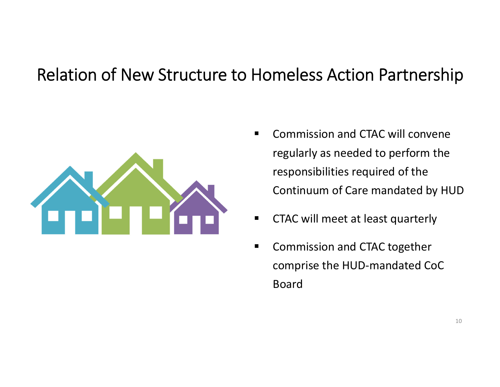### Relation of New Structure to Homeless Action Partnership



- $\blacksquare$ **EXTERGHTM** Commission and CTAC will convene regularly as needed to perform the responsibilities required of the Continuum of Care mandated by HUD
- $\blacksquare$ **EXTAC will meet at least quarterly**
- $\blacksquare$ **EX Commission and CTAC together** comprise the HUD‐mandated CoC Board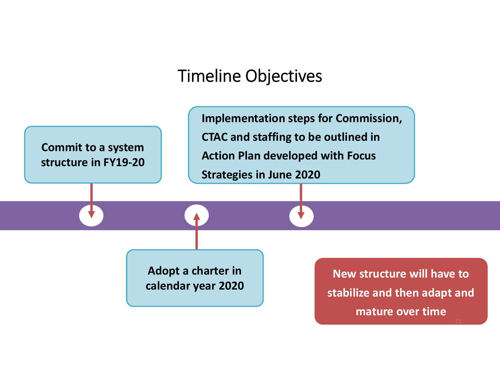### Timeline Objectives